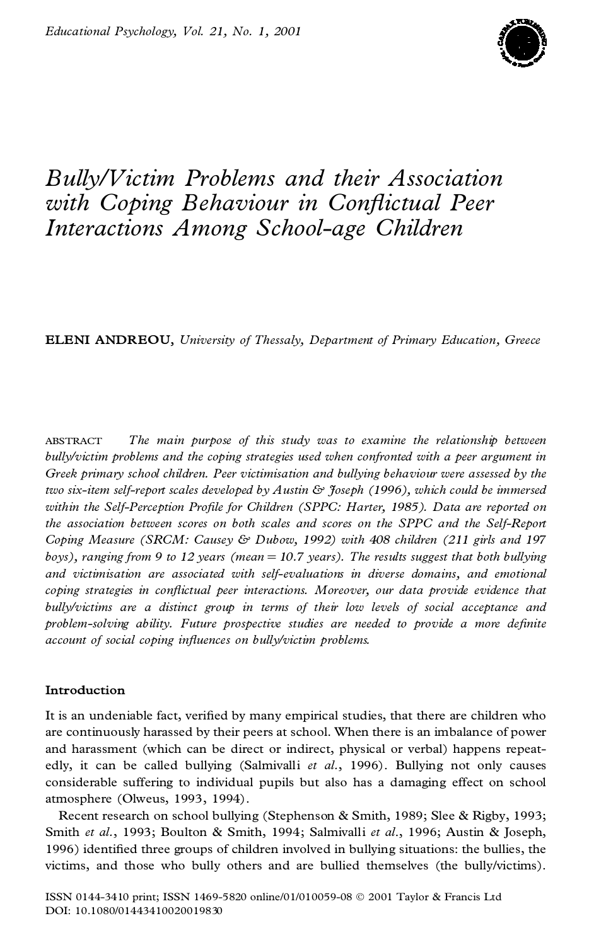

# *Bully/Victim Problems and their Association with Coping Behaviour in Con¯ ictual Peer Interactions Among School-age Children*

**ELENI ANDREOU,** *University of Thessaly, Department of Primary Education, Greece*

ABSTRACT *The main purpose of this study was to examine the relationship between bully/victim problems and the coping strategies used when confronted with a peer argument in Greek primary school children. Peer victimisation and bullying behaviour were assessed by the two six-item self-report scales developed by Austin & Joseph (1996), which could be immersed within the Self-Perception Pro®le for Children (SPPC: Harter, 1985). Data are reported on the association between scores on both scales and scores on the SPPC and the Self-Report Coping Measure (SRCM: Causey & Dubow, 1992) with 408 children (211 girls and 197 boys), ranging from 9to 12 years (mean* 5 *10.7 years). The results suggest that both bullying and victimisation are associated with self-evaluations in diverse domains, and emotional coping strategies in con¯ ictual peer interactions. Moreover, our data provide evidence that bully/victims are a distinct group in terms of their low levels of social acceptance and problem-solving ability. Future prospective studies are needed to provide a more de®nite account of social coping in¯ uences on bully/victim problems.*

# **Introduction**

It is an undeniable fact, verified by many empirical studies, that there are children who are continuously harassed by their peers at school. When there is an imbalance of power and harassment (which can be direct or indirect, physical or verbal) happens repeat edly, it can be called bullying (Salmivalli *et al.*, 1996). Bullying not only causes considerable suffering to individual pupils but also has a damaging effect on school atmosphere (Olweus, 1993, 1994).

Recent research on school bullying (Stephenson & Smith, 1989; Slee & Rigby, 1993; Smith *et al.*, 1993; Boulton & Smith, 1994; Salmivalli *et al*., 1996; Austin & Joseph, 1996) identified three groups of children involved in bullying situations: the bullies, the victims, and those who bully others and are bullied themselves (the bully/victims).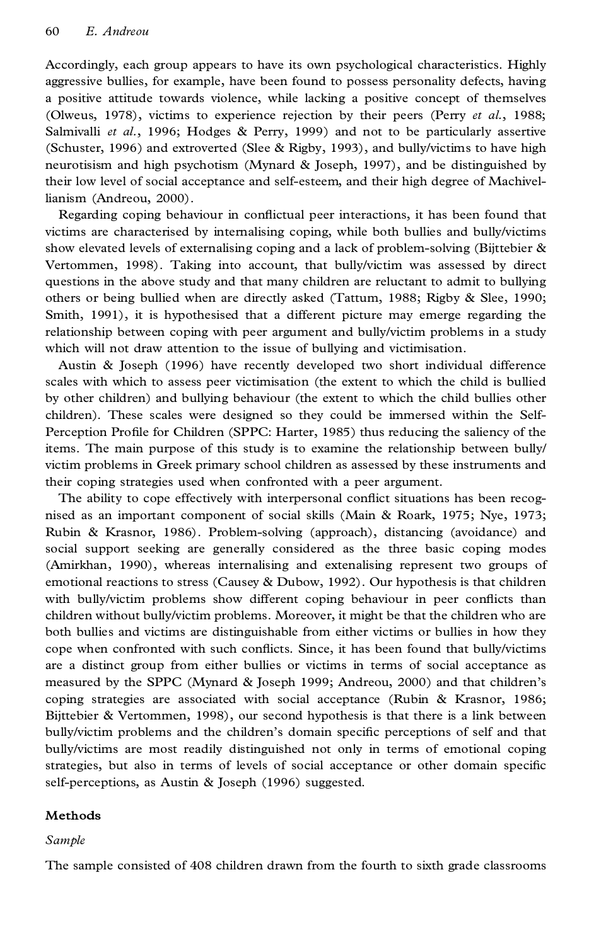Accordingly, each group appears to have its own psychological characteristics. Highly aggressive bullies, for example, have been found to possess personality defects, having a positive attitude towards violence, while lacking a positive concept of themselves (Olweus, 1978), victims to experience rejection by their peers (Perry *et al.*, 1988; Salmivalli *et al.*, 1996; Hodges & Perry, 1999) and not to be particularly assertive (Schuster, 1996) and extroverted (Slee & Rigby, 1993), and bully/victims to have high neurotisism and high psychotism (Mynard & Joseph, 1997), and be distinguished by their low level of social acceptance and self-esteem, and their high degree of Machivellianism (Andreou, 2000).

Regarding coping behaviour in conflictual peer interactions, it has been found that victims are characterised by internalising coping, while both bullies and bully/victims show elevated levels of externalising coping and a lack of problem-solving (Bijttebier  $\&$ Vertommen, 1998). Taking into account, that bully/victim was assessed by direct questions in the above study and that many children are reluctant to admit to bullying others or being bullied when are directly asked (Tattum, 1988; Rigby & Slee, 1990; Smith, 1991), it is hypothesised that a different picture may emerge regarding the relationship between coping with peer argument and bully/victim problems in a study which will not draw attention to the issue of bullying and victimisation.

Austin & Joseph (1996) have recently developed two short individual difference scales with which to assess peer victimisation (the extent to which the child is bullied by other children) and bullying behaviour (the extent to which the child bullies other children). These scales were designed so they could be immersed within the Self- Perception Profile for Children (SPPC: Harter, 1985) thus reducing the saliency of the items. The main purpose of this study is to examine the relationship between bully/ victim problems in Greek primary school children as assessed by these instruments and their coping strategies used when confronted with a peer argument.

The ability to cope effectively with interpersonal conflict situations has been recognised as an important component of social skills (Main & Roark, 1975; Nye, 1973; Rubin & Krasnor, 1986). Problem-solving (approach), distancing (avoidance) and social support seeking are generally considered as the three basic coping modes (Amirkhan, 1990), whereas internalising and extenalising represent two groups of emotional reactions to stress (Causey & Dubow, 1992). Our hypothesis is that children with bully/victim problems show different coping behaviour in peer conflicts than children without bully/victim problems. Moreover, it might be that the children who are both bullies and victims are distinguishable from either victims or bullies in how they cope when confronted with such conflicts. Since, it has been found that bully/victims are a distinct group from either bullies or victims in terms of social acceptance as measured by the SPPC (Mynard & Joseph 1999; Andreou, 2000) and that children's coping strategies are associated with social acceptance (Rubin & Krasnor, 1986; Bijttebier & Vertommen, 1998), our second hypothesis is that there is a link between bully/victim problems and the children's domain specific perceptions of self and that bully/victims are most readily distinguished not only in terms of emotional coping strategies, but also in terms of levels of social acceptance or other domain specific self-perceptions, as Austin & Joseph (1996) suggested.

# **Methods**

## *Sample*

The sample consisted of 408 children drawn from the fourth to sixth grade classrooms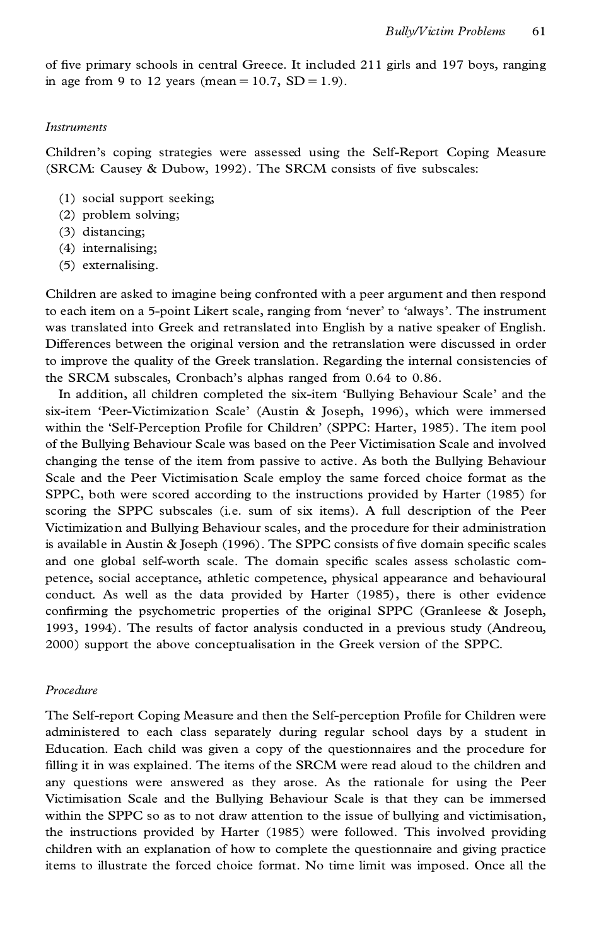of five primary schools in central Greece. It included 211 girls and 197 boys, ranging in age from 9 to 12 years (mean =  $10.7$ , SD =  $1.9$ ).

#### *Instruments*

Children's coping strategies were assessed using the Self-Report Coping Measure (SRCM: Causey & Dubow, 1992). The SRCM consists of five subscales:

- (1) social support seeking;
- (2) problem solving;
- (3) distancing;
- (4) internalising;
- (5) externalising.

Children are asked to imagine being confronted with a peer argument and then respond to each item on a 5-point Likert scale, ranging from `never' to `always'. The instrument was translated into Greek and retranslated into English by a native speaker of English. Differences between the original version and the retranslation were discussed in order to improve the quality of the Greek translation. Regarding the internal consistencies of the SRCM subscales, Cronbach's alphas ranged from 0.64 to 0.86.

In addition, all children completed the six-item `Bullying Behaviour Scale' and the six-item `Peer-Victimization Scale' (Austin & Joseph, 1996), which were immersed within the 'Self-Perception Profile for Children' (SPPC: Harter, 1985). The item pool of the Bullying Behaviour Scale was based on the Peer Victimisation Scale and involved changing the tense of the item from passive to active. As both the Bullying Behaviour Scale and the Peer Victimisation Scale employ the same forced choice format as the SPPC, both were scored according to the instructions provided by Harter (1985) for scoring the SPPC subscales (i.e. sum of six items). A full description of the Peer Victimization and Bullying Behaviour scales, and the procedure for their administration is available in Austin & Joseph  $(1996)$ . The SPPC consists of five domain specific scales and one global self-worth scale. The domain specific scales assess scholastic competence, social acceptance, athletic competence, physical appearance and behavioural conduct. As well as the data provided by Harter (1985), there is other evidence confirming the psychometric properties of the original SPPC (Granleese  $\&$  Joseph, 1993, 1994). The results of factor analysis conducted in a previous study (Andreou, 2000) support the above conceptualisation in the Greek version of the SPPC.

## *Procedure*

The Self-report Coping Measure and then the Self-perception Profile for Children were administered to each class separately during regular school days by a student in Education. Each child was given a copy of the questionnaires and the procedure for filling it in was explained. The items of the SRCM were read aloud to the children and any questions were answered as they arose. As the rationale for using the Peer Victimisation Scale and the Bullying Behaviour Scale is that they can be immersed within the SPPC so as to not draw attention to the issue of bullying and victimisation, the instructions provided by Harter (1985) were followed. This involved providing children with an explanation of how to complete the questionnaire and giving practice items to illustrate the forced choice format. No time limit was imposed. Once all the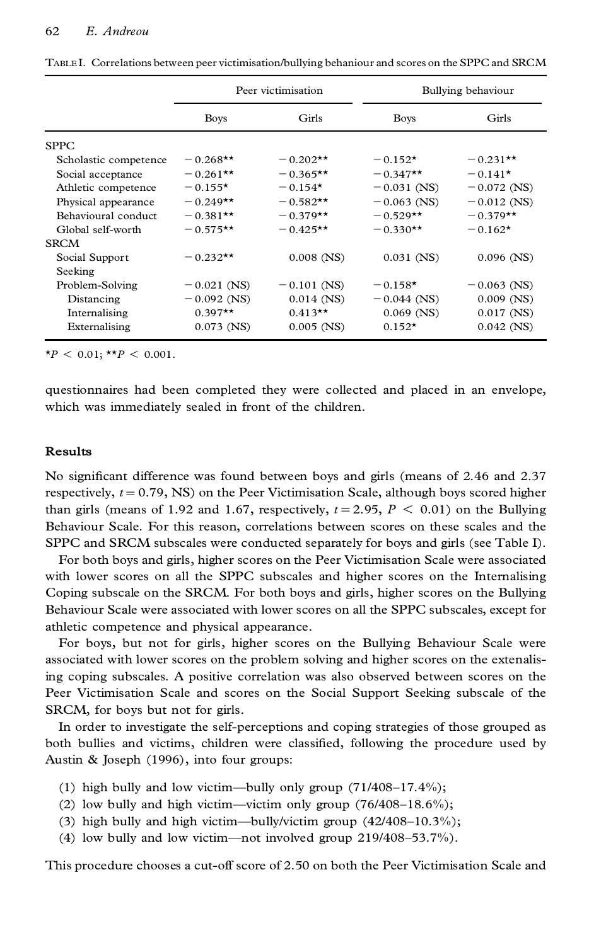|                       | Peer victimisation |               | Bullying behaviour |               |
|-----------------------|--------------------|---------------|--------------------|---------------|
|                       | <b>Boys</b>        | Girls         | <b>Boys</b>        | Girls         |
| <b>SPPC</b>           |                    |               |                    |               |
| Scholastic competence | $-0.268**$         | $-0.202**$    | $-0.152*$          | $-0.231**$    |
| Social acceptance     | $-0.261**$         | $-0.365**$    | $-0.347**$         | $-0.141*$     |
| Athletic competence   | $-0.155*$          | $-0.154*$     | $-0.031$ (NS)      | $-0.072$ (NS) |
| Physical appearance   | $-0.249**$         | $-0.582**$    | $-0.063$ (NS)      | $-0.012$ (NS) |
| Behavioural conduct   | $-0.381**$         | $-0.379**$    | $-0.529**$         | $-0.379**$    |
| Global self-worth     | $-0.575**$         | $-0.425**$    | $-0.330**$         | $-0.162*$     |
| <b>SRCM</b>           |                    |               |                    |               |
| Social Support        | $-0.232**$         | $0.008$ (NS)  | $0.031$ (NS)       | $0.096$ (NS)  |
| Seeking               |                    |               |                    |               |
| Problem-Solving       | $-0.021$ (NS)      | $-0.101$ (NS) | $-0.158*$          | $-0.063$ (NS) |
| Distancing            | $-0.092$ (NS)      | $0.014$ (NS)  | $-0.044$ (NS)      | $0.009$ (NS)  |
| Internalising         | $0.397**$          | $0.413**$     | $0.069$ (NS)       | $0.017$ (NS)  |
| Externalising         | $0.073$ (NS)       | $0.005$ (NS)  | $0.152*$           | $0.042$ (NS)  |

TABLE I. Correlations between peer victimisation/bullying behaniour and scores on the SPPC and SRCM

 $*P < 0.01$ ; \*\**P* < 0.001.

questionnaires had been completed they were collected and placed in an envelope, which was immediately sealed in front of the children.

### **Results**

No significant difference was found between boys and girls (means of 2.46 and 2.37 respectively,  $t = 0.79$ , NS) on the Peer Victimisation Scale, although boys scored higher than girls (means of 1.92 and 1.67, respectively,  $t = 2.95$ ,  $P < 0.01$ ) on the Bullying Behaviour Scale. For this reason, correlations between scores on these scales and the SPPC and SRCM subscales were conducted separately for boys and girls (see Table I).

For both boys and girls, higher scores on the Peer Victimisation Scale were associated with lower scores on all the SPPC subscales and higher scores on the Internalising Coping subscale on the SRCM. For both boys and girls, higher scores on the Bullying Behaviour Scale were associated with lower scores on all the SPPC subscales, except for athletic competence and physical appearance.

For boys, but not for girls, higher scores on the Bullying Behaviour Scale were associated with lower scores on the problem solving and higher scores on the extenalising coping subscales. A positive correlation was also observed between scores on the Peer Victimisation Scale and scores on the Social Support Seeking subscale of the SRCM, for boys but not for girls.

In order to investigate the self-perceptions and coping strategies of those grouped as both bullies and victims, children were classified, following the procedure used by Austin & Joseph (1996), into four groups:

- (1) high bully and low victim—bully only group  $(71/408-17.4\%)$ ;
- (2) low bully and high victim—victim only group  $(76/408-18.6\%)$ ;
- (3) high bully and high victim—bully/victim group  $(42/408-10.3\%)$ ;
- (4) low bully and low victim—not involved group  $219/408-53.7\%$ ).

This procedure chooses a cut-off score of 2.50 on both the Peer Victimisation Scale and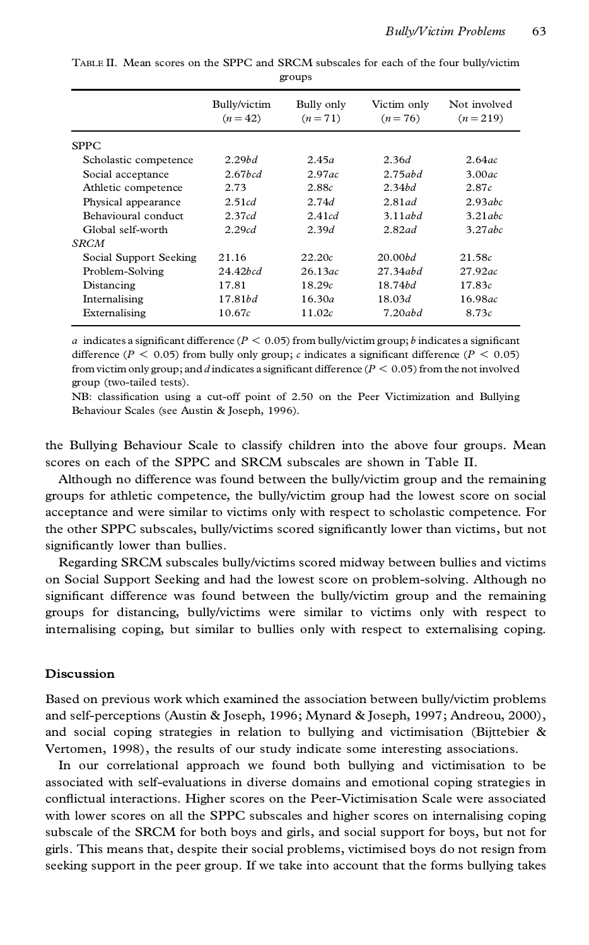|                        | Bully/victim<br>$(n=42)$ | Bully only<br>$(n=71)$ | Victim only<br>$(n=76)$ | Not involved<br>$(n=219)$ |
|------------------------|--------------------------|------------------------|-------------------------|---------------------------|
| <b>SPPC</b>            |                          |                        |                         |                           |
| Scholastic competence  | 2.29bd                   | 2.45a                  | 2.36d                   | 2.64ac                    |
| Social acceptance      | $2.67$ <sub>bcd</sub>    | 2.97ac                 | 2.75abd                 | 3.00ac                    |
| Athletic competence    | 2.73                     | 2.88c                  | 2.34bd                  | 2.87c                     |
| Physical appearance    | 2.51cd                   | 2.74d                  | $2.81$ ad               | 2.93abc                   |
| Behavioural conduct    | 2.37cd                   | 2.41cd                 | $3.11$ abd              | 3.21abc                   |
| Global self-worth      | 2.29cd                   | 2.39d                  | $2.82$ ad               | $3.27$ abc                |
| SRCM                   |                          |                        |                         |                           |
| Social Support Seeking | 21.16                    | 22.20c                 | 20.00bd                 | 21.58c                    |
| Problem-Solving        | 24.42 <i>bcd</i>         | 26.13ac                | 27.34abd                | 27.92ac                   |
| Distancing             | 17.81                    | 18.29c                 | 18.74bd                 | 17.83c                    |
| Internalising          | 17.81bd                  | 16.30a                 | 18.03d                  | 16.98ac                   |
| Externalising          | 10.67c                   | 11.02c                 | 7.20abd                 | 8.73c                     |

TABLE II. Mean scores on the SPPC and SRCM subscales for each of the four bully/victim groups

*a* indicates a significant difference ( $P < 0.05$ ) from bully/victim group; *b* indicates a significant difference ( $P \le 0.05$ ) from bully only group; *c* indicates a significant difference ( $P \le 0.05$ ) from victim only group; and *d* indicates a significant difference ( $P < 0.05$ ) from the not involved group (two-tailed tests).

NB: classification using a cut-off point of 2.50 on the Peer Victimization and Bullying Behaviour Scales (see Austin & Joseph, 1996).

the Bullying Behaviour Scale to classify children into the above four groups. Mean scores on each of the SPPC and SRCM subscales are shown in Table II.

Although no difference was found between the bully/victim group and the remaining groups for athletic competence, the bully/victim group had the lowest score on social acceptance and were similar to victims only with respect to scholastic competence. For the other SPPC subscales, bully/victims scored significantly lower than victims, but not significantly lower than bullies.

Regarding SRCM subscales bully/victims scored midway between bullies and victims on Social Support Seeking and had the lowest score on problem-solving. Although no significant difference was found between the bully/victim group and the remaining groups for distancing, bully/victims were similar to victims only with respect to internalising coping, but similar to bullies only with respect to externalising coping.

## **Discussion**

Based on previous work which examined the association between bully/victim problems and self-perceptions (Austin & Joseph, 1996; Mynard & Joseph, 1997; Andreou, 2000), and social coping strategies in relation to bullying and victimisation (Bijttebier  $\&$ Vertomen, 1998), the results of our study indicate some interesting associations.

In our correlational approach we found both bullying and victimisation to be associated with self-evaluations in diverse domains and emotional coping strategies in conflictual interactions. Higher scores on the Peer-Victimisation Scale were associated with lower scores on all the SPPC subscales and higher scores on internalising coping subscale of the SRCM for both boys and girls, and social support for boys, but not for girls. This means that, despite their social problems, victimised boys do not resign from seeking support in the peer group. If we take into account that the forms bullying takes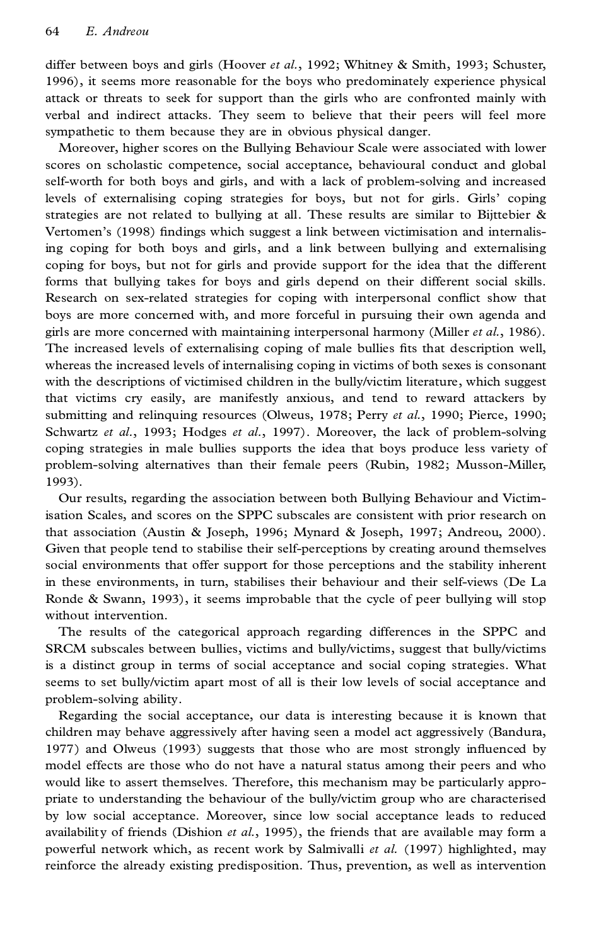differ between boys and girls (Hoover *et al.*, 1992; Whitney & Smith, 1993; Schuster, 1996), it seems more reasonable for the boys who predominately experience physical attack or threats to seek for support than the girls who are confronted mainly with verbal and indirect attacks. They seem to believe that their peers will feel more sympathetic to them because they are in obvious physical danger.

Moreover, higher scores on the Bullying Behaviour Scale were associated with lower scores on scholastic competence, social acceptance, behavioural conduct and global self-worth for both boys and girls, and with a lack of problem-solving and increased levels of externalising coping strategies for boys, but not for girls. Girls' coping strategies are not related to bullying at all. These results are similar to Bijttebier  $\&$ Vertomen's (1998) findings which suggest a link between victimisation and internalising coping for both boys and girls, and a link between bullying and externalising coping for boys, but not for girls and provide support for the idea that the different forms that bullying takes for boys and girls depend on their different social skills. Research on sex-related strategies for coping with interpersonal conflict show that boys are more concerned with, and more forceful in pursuing their own agenda and girls are more concerned with maintaining interpersonal harmony (Miller *et al.*, 1986). The increased levels of externalising coping of male bullies fits that description well, whereas the increased levels of internalising coping in victims of both sexes is consonant with the descriptions of victimised children in the bully/victim literature, which suggest that victims cry easily, are manifestly anxious, and tend to reward attackers by submitting and relinquing resources (Olweus, 1978; Perry *et al.*, 1990; Pierce, 1990; Schwartz *et al.*, 1993; Hodges *et al.*, 1997). Moreover, the lack of problem-solving coping strategies in male bullies supports the idea that boys produce less variety of problem-solving alternatives than their female peers (Rubin, 1982; Musson-Miller, 1993).

Our results, regarding the association between both Bullying Behaviour and Victimisation Scales, and scores on the SPPC subscales are consistent with prior research on that association (Austin & Joseph, 1996; Mynard & Joseph, 1997; Andreou, 2000). Given that people tend to stabilise their self-perceptions by creating around themselves social environments that offer support for those perceptions and the stability inherent in these environments, in turn, stabilises their behaviour and their self-views (De La Ronde & Swann, 1993), it seems improbable that the cycle of peer bullying will stop without intervention.

The results of the categorical approach regarding differences in the SPPC and SRCM subscales between bullies, victims and bully/victims, suggest that bully/victims is a distinct group in terms of social acceptance and social coping strategies. What seems to set bully/victim apart most of all is their low levels of social acceptance and problem-solving ability.

Regarding the social acceptance, our data is interesting because it is known that children may behave aggressively after having seen a model act aggressively (Bandura, 1977) and Olweus (1993) suggests that those who are most strongly influenced by model effects are those who do not have a natural status among their peers and who would like to assert themselves. Therefore, this mechanism may be particularly appro priate to understanding the behaviour of the bully/victim group who are characterised by low social acceptance. Moreover, since low social acceptance leads to reduced availability of friends (Dishion *et al.*, 1995), the friends that are available may form a powerful network which, as recent work by Salmivalli *et al.* (1997) highlighted, may reinforce the already existing predisposition. Thus, prevention, as well as intervention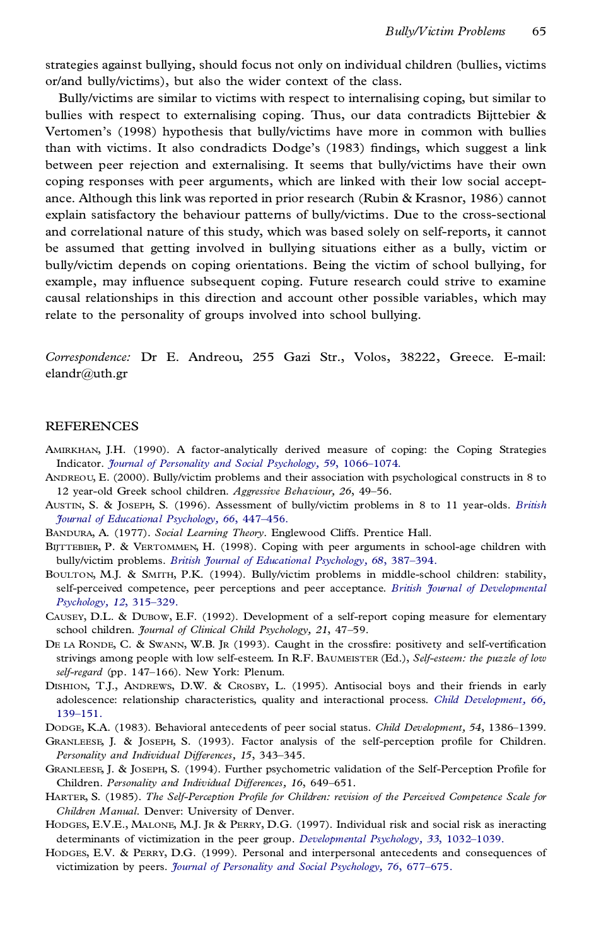strategies against bullying, should focus not only on individual children (bullies, victims or/and bully/victims), but also the wider context of the class.

Bully/victims are similar to victims with respect to internalising coping, but similar to bullies with respect to externalising coping. Thus, our data contradicts Bijttebier  $\&$ Vertomen's (1998) hypothesis that bully/victims have more in common with bullies than with victims. It also condradicts Dodge's (1983) findings, which suggest a link between peer rejection and externalising. It seems that bully/victims have their own coping responses with peer arguments, which are linked with their low social accept ance. Although this link was reported in prior research (Rubin & Krasnor, 1986) cannot explain satisfactory the behaviour patterns of bully/victims. Due to the cross-sectional and correlational nature of this study, which was based solely on self-reports, it cannot be assumed that getting involved in bullying situations either as a bully, victim or bully/victim depends on coping orientations. Being the victim of school bullying, for example, may influence subsequent coping. Future research could strive to examine causal relationships in this direction and account other possible variables, which may relate to the personality of groups involved into school bullying.

*Correspondence:* Dr E. Andreou, 255 Gazi Str., Volos, 38222, Greece. E-mail: elandr@uth.gr

#### REFERENCES

- AMIRKHAN, J.H. (1990). A factor-analytically derived measure of coping: the Coping Strategies Indicator. *Journal of Personality and Social Psychology*, 59, 1066-1074.
- ANDREOU, E. (2000). Bully/victim problems and their association with psychological constructs in 8 to 12 year-old Greek school children. Aggressive Behaviour, 26, 49-56.
- AUSTIN, S. & JOSEPH, S. (1996). Assessment of bully/victim problems in 8 to 11 year-olds. *[British](http://susanna.catchword.com/nw=1/rpsv/0007-0998^28^2966L.447[aid=26427,nlm=9008423]) Journal of [Educational](http://susanna.catchword.com/nw=1/rpsv/0007-0998^28^2966L.447[aid=26427,nlm=9008423]) Psychology, 66*, 447±456.
- BANDURA, A. (1977). *Social Learning Theory*. Englewood Cliffs. Prentice Hall.
- BIJTTEBIER, P. & VERTOMMEN, H. (1998). Coping with peer arguments in school-age children with bully/victim problems. *British Journal of [Educational](http://susanna.catchword.com/nw=1/rpsv/0007-0998^28^2968L.387[aid=860925,nlm=9788212]) Psychology, 68, 387-394.*
- BOULTON, M.J. & SMITH, P.K. (1994). Bully/victim problems in middle-school children: stability, self-perceived competence, peer perceptions and peer acceptance. *British Journal of [Developmental](http://susanna.catchword.com/nw=1/rpsv/0261-510X^28^2912L.315[aid=17980,csa=0261-510X^26vol=12^26iss=3^26firstpage=315])* [Psychology,](http://susanna.catchword.com/nw=1/rpsv/0261-510X^28^2912L.315[aid=17980,csa=0261-510X^26vol=12^26iss=3^26firstpage=315]) 12, 315-329.
- CAUSEY, D.L. & DUBOW, E.F. (1992). Development of a self-report coping measure for elementary school children. *Journal of Clinical Child Psychology*, 21, 47-59.
- DE LA RONDE, C. & SWANN, W.B. JR (1993). Caught in the crossfire: positivety and self-vertification strivings among people with low self-esteem. In R.F. BAUMEISTER (Ed.), *Self-esteem: the puzzle of low* self-regard (pp. 147-166). New York: Plenum.
- DISHION, T.J., ANDREWS, D.W. & CROSBY, L. (1995). Antisocial boys and their friends in early adolescence: relationship characteristics, quality and interactional process. *Child [Development,](http://susanna.catchword.com/nw=1/rpsv/0009-3920^28^2966L.139[aid=860927,nlm=7497821]) 66,* [139±151.](http://susanna.catchword.com/nw=1/rpsv/0009-3920^28^2966L.139[aid=860927,nlm=7497821])
- DODGE, K.A. (1983). Behavioral antecedents of peer social status. *Child Development*, 54, 1386-1399.
- GRANLEESE, J. & JOSEPH, S. (1993). Factor analysis of the self-perception profile for Children. *Personality and Individual Differences, 15, 343-345.*
- GRANLEESE, J. & JOSEPH, S. (1994). Further psychometric validation of the Self-Perception Profile for Children. Personality and Individual Differences, 16, 649-651.
- HARTER, S. (1985). *The Self-Perception Pro®le for Children: revision of the Perceived Competence Scale for Children Manual*. Denver: University of Denver.
- HODGES, E.V.E., MALONE, M.J. JR & PERRY, D.G. (1997). Individual risk and social risk as ineracting determinants of victimization in the peer group. *[Developmental](http://susanna.catchword.com/nw=1/rpsv/0012-1649^28^2933L.1032[aid=860930,csa=0012-1649^26vol=33^26iss=6^26firstpage=1032,doi=10.1037//0012-1649.33.6.1032,nlm=9383625]) Psychology*, 33, 1032-1039.
- HODGES, E.V. & PERRY, D.G. (1999). Personal and interpersonal antecedents and consequences of victimization by peers. *Journal of Personality and Social Psychology*, 76, 677-675.